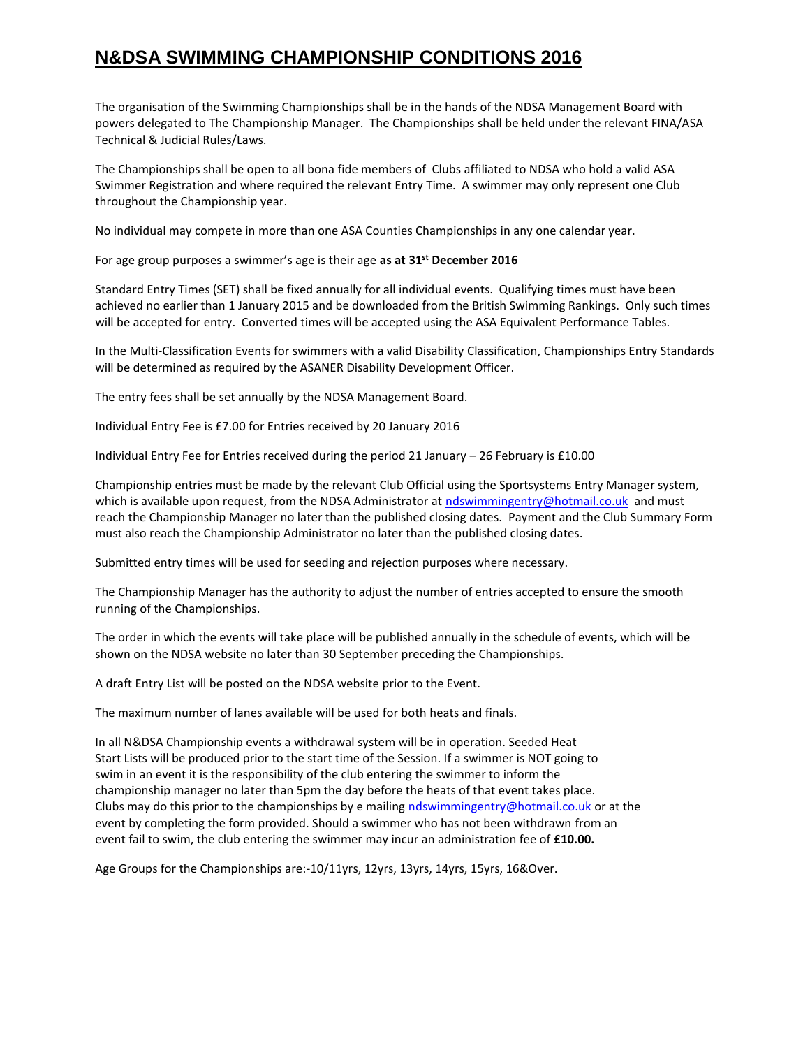## **N&DSA SWIMMING CHAMPIONSHIP CONDITIONS 2016**

The organisation of the Swimming Championships shall be in the hands of the NDSA Management Board with powers delegated to The Championship Manager. The Championships shall be held under the relevant FINA/ASA Technical & Judicial Rules/Laws.

The Championships shall be open to all bona fide members of Clubs affiliated to NDSA who hold a valid ASA Swimmer Registration and where required the relevant Entry Time. A swimmer may only represent one Club throughout the Championship year.

No individual may compete in more than one ASA Counties Championships in any one calendar year.

For age group purposes a swimmer's age is their age **as at 31st December 2016**

Standard Entry Times (SET) shall be fixed annually for all individual events. Qualifying times must have been achieved no earlier than 1 January 2015 and be downloaded from the British Swimming Rankings. Only such times will be accepted for entry. Converted times will be accepted using the ASA Equivalent Performance Tables.

In the Multi-Classification Events for swimmers with a valid Disability Classification, Championships Entry Standards will be determined as required by the ASANER Disability Development Officer.

The entry fees shall be set annually by the NDSA Management Board.

Individual Entry Fee is £7.00 for Entries received by 20 January 2016

Individual Entry Fee for Entries received during the period 21 January – 26 February is £10.00

Championship entries must be made by the relevant Club Official using the Sportsystems Entry Manager system, which is available upon request, from the NDSA Administrator at [ndswimmingentry@hotmail.co.uk](mailto:ndswimmingentry@hotmail.co.uk) and must reach the Championship Manager no later than the published closing dates. Payment and the Club Summary Form must also reach the Championship Administrator no later than the published closing dates.

Submitted entry times will be used for seeding and rejection purposes where necessary.

The Championship Manager has the authority to adjust the number of entries accepted to ensure the smooth running of the Championships.

The order in which the events will take place will be published annually in the schedule of events, which will be shown on the NDSA website no later than 30 September preceding the Championships.

A draft Entry List will be posted on the NDSA website prior to the Event.

The maximum number of lanes available will be used for both heats and finals.

In all N&DSA Championship events a withdrawal system will be in operation. Seeded Heat Start Lists will be produced prior to the start time of the Session. If a swimmer is NOT going to swim in an event it is the responsibility of the club entering the swimmer to inform the championship manager no later than 5pm the day before the heats of that event takes place. Clubs may do this prior to the championships by e mailing [ndswimmingentry@hotmail.co.uk](mailto:ndswimmingentry@hotmail.co.uk) or at the event by completing the form provided. Should a swimmer who has not been withdrawn from an event fail to swim, the club entering the swimmer may incur an administration fee of **£10.00.**

Age Groups for the Championships are:-10/11yrs, 12yrs, 13yrs, 14yrs, 15yrs, 16&Over.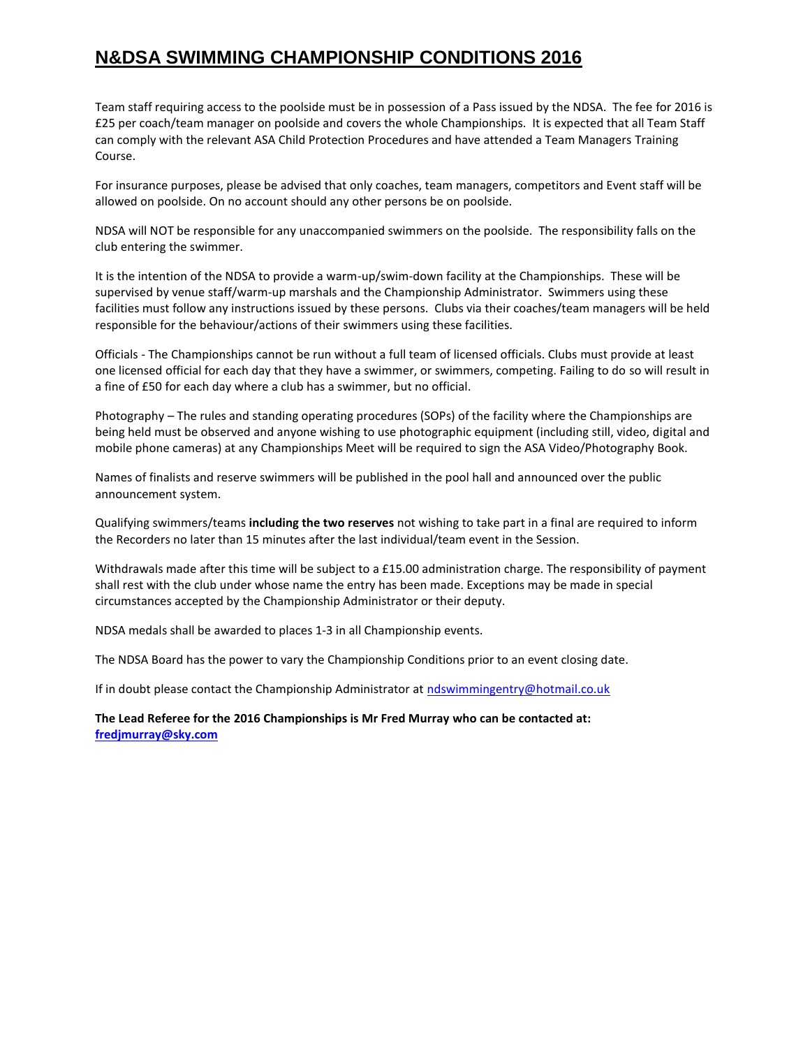## **N&DSA SWIMMING CHAMPIONSHIP CONDITIONS 2016**

Team staff requiring access to the poolside must be in possession of a Pass issued by the NDSA. The fee for 2016 is £25 per coach/team manager on poolside and covers the whole Championships. It is expected that all Team Staff can comply with the relevant ASA Child Protection Procedures and have attended a Team Managers Training Course.

For insurance purposes, please be advised that only coaches, team managers, competitors and Event staff will be allowed on poolside. On no account should any other persons be on poolside.

NDSA will NOT be responsible for any unaccompanied swimmers on the poolside. The responsibility falls on the club entering the swimmer.

It is the intention of the NDSA to provide a warm-up/swim-down facility at the Championships. These will be supervised by venue staff/warm-up marshals and the Championship Administrator. Swimmers using these facilities must follow any instructions issued by these persons. Clubs via their coaches/team managers will be held responsible for the behaviour/actions of their swimmers using these facilities.

Officials - The Championships cannot be run without a full team of licensed officials. Clubs must provide at least one licensed official for each day that they have a swimmer, or swimmers, competing. Failing to do so will result in a fine of £50 for each day where a club has a swimmer, but no official.

Photography – The rules and standing operating procedures (SOPs) of the facility where the Championships are being held must be observed and anyone wishing to use photographic equipment (including still, video, digital and mobile phone cameras) at any Championships Meet will be required to sign the ASA Video/Photography Book.

Names of finalists and reserve swimmers will be published in the pool hall and announced over the public announcement system.

Qualifying swimmers/teams **including the two reserves** not wishing to take part in a final are required to inform the Recorders no later than 15 minutes after the last individual/team event in the Session.

Withdrawals made after this time will be subject to a £15.00 administration charge. The responsibility of payment shall rest with the club under whose name the entry has been made. Exceptions may be made in special circumstances accepted by the Championship Administrator or their deputy.

NDSA medals shall be awarded to places 1-3 in all Championship events.

The NDSA Board has the power to vary the Championship Conditions prior to an event closing date.

If in doubt please contact the Championship Administrator at [ndswimmingentry@hotmail.co.uk](mailto:ndswimmingentry@hotmail.co.uk)

**The Lead Referee for the 2016 Championships is Mr Fred Murray who can be contacted at: [fredjmurray@sky.com](mailto:fredjmurray@sky.com)**